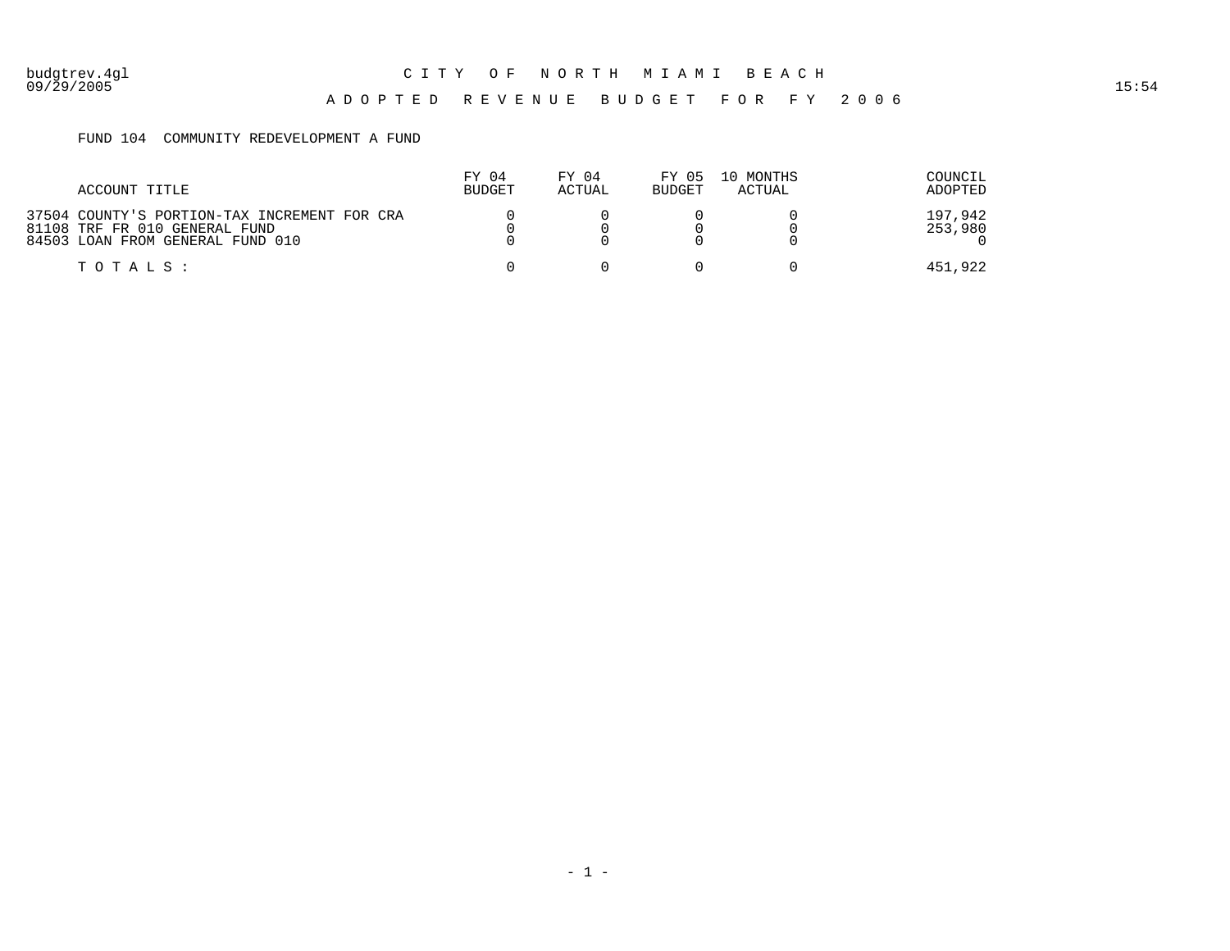#### A D O P T E D R E V E N U E B U D G E T F O R F Y 2 0 0 6

#### FUND 104 COMMUNITY REDEVELOPMENT A FUND

| ACCOUNT TITLE                                                                                                     | FY 04<br><b>BUDGET</b> | FY 04<br>ACTUAL | FY 05<br><b>BUDGET</b> | 10 MONTHS<br>ACTUAL | COUNCIL<br>ADOPTED |
|-------------------------------------------------------------------------------------------------------------------|------------------------|-----------------|------------------------|---------------------|--------------------|
| 37504 COUNTY'S PORTION-TAX INCREMENT FOR CRA<br>81108 TRF FR 010 GENERAL FUND<br>84503 LOAN FROM GENERAL FUND 010 |                        |                 |                        |                     | 197,942<br>253,980 |
| TOTALS :                                                                                                          |                        |                 |                        |                     | 451,922            |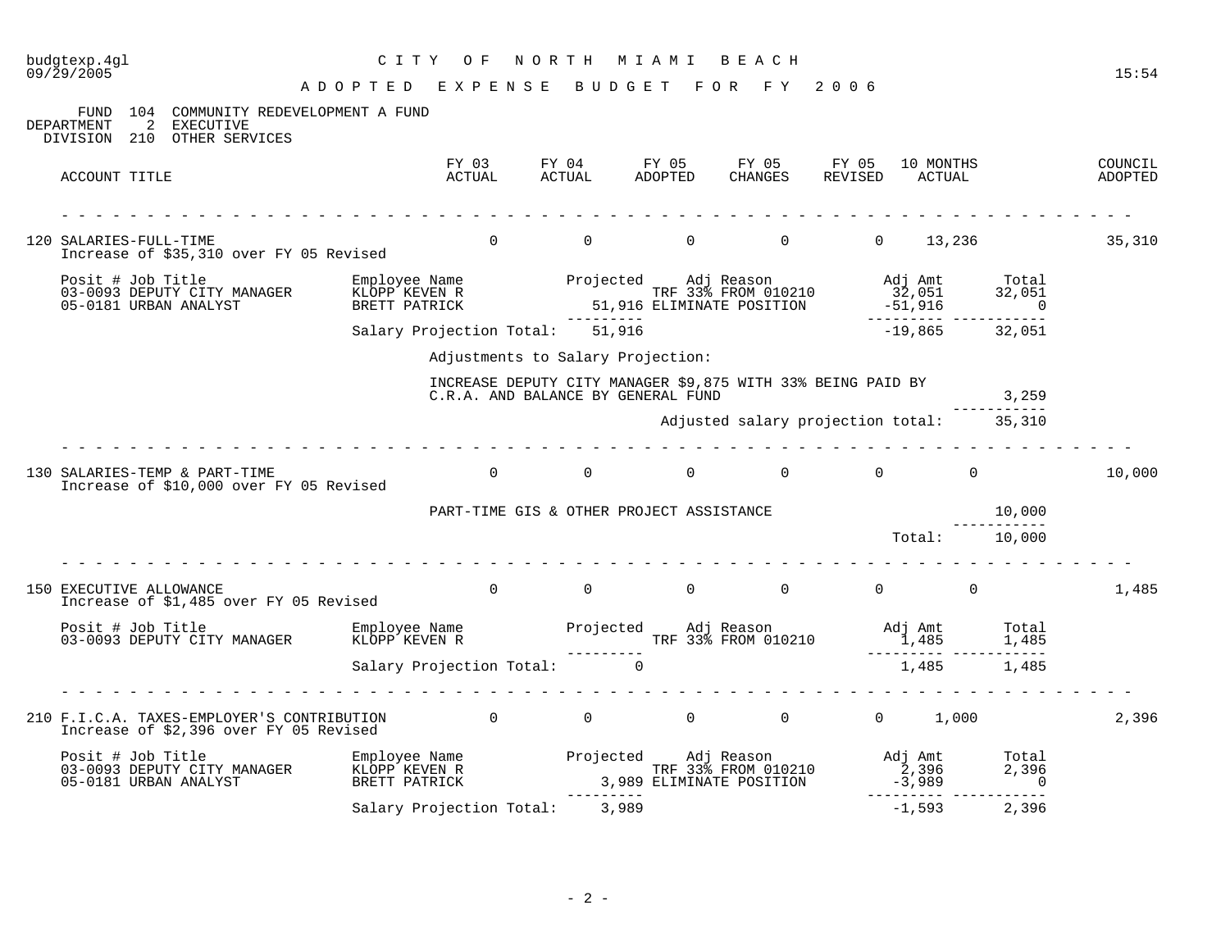| $09/\bar{2}9/\bar{2005}$                                                                                                                                                                                                             | A D O P T E D E X P E N S E B U D G E T F O R F Y 2006 |                                                                                                   |  |                                                                                         |                        | 15:54              |
|--------------------------------------------------------------------------------------------------------------------------------------------------------------------------------------------------------------------------------------|--------------------------------------------------------|---------------------------------------------------------------------------------------------------|--|-----------------------------------------------------------------------------------------|------------------------|--------------------|
| FUND 104 COMMUNITY REDEVELOPMENT A FUND<br>2 EXECUTIVE<br>DEPARTMENT<br>DIVISION 210 OTHER SERVICES                                                                                                                                  |                                                        |                                                                                                   |  |                                                                                         |                        |                    |
| ACCOUNT TITLE                                                                                                                                                                                                                        |                                                        |                                                                                                   |  | FY 03 FY 04 FY 05 FY 05 FY 05 10 MONTHS<br>ACTUAL ACTUAL ADOPTED CHANGES REVISED ACTUAL |                        | COUNCIL<br>ADOPTED |
| 120 SALARIES-FULL-TIME<br>Increase of \$35,310 over FY 05 Revised                                                                                                                                                                    |                                                        |                                                                                                   |  | 0 0 0 0 0 0 13,236 35,310                                                               |                        |                    |
|                                                                                                                                                                                                                                      |                                                        |                                                                                                   |  |                                                                                         |                        |                    |
|                                                                                                                                                                                                                                      | Salary Projection Total: 51,916                        |                                                                                                   |  | $-19,865$ 32,051                                                                        |                        |                    |
|                                                                                                                                                                                                                                      |                                                        | Adjustments to Salary Projection:                                                                 |  |                                                                                         |                        |                    |
|                                                                                                                                                                                                                                      |                                                        | INCREASE DEPUTY CITY MANAGER \$9,875 WITH 33% BEING PAID BY<br>C.R.A. AND BALANCE BY GENERAL FUND |  |                                                                                         | 3,259                  |                    |
|                                                                                                                                                                                                                                      |                                                        |                                                                                                   |  | Adjusted salary projection total: 35,310                                                |                        |                    |
| 130 SALARIES-TEMP & PART-TIME<br>Increase of \$10,000 over FY 05 Revised                                                                                                                                                             |                                                        | $\begin{array}{ccccccc}\n0 & & & 0 & & & 0\n\end{array}$                                          |  | $0 \qquad \qquad 0 \qquad \qquad 0$                                                     |                        | 10,000             |
|                                                                                                                                                                                                                                      | PART-TIME GIS & OTHER PROJECT ASSISTANCE               |                                                                                                   |  |                                                                                         | 10,000<br>------------ |                    |
|                                                                                                                                                                                                                                      |                                                        |                                                                                                   |  | Total: 10,000                                                                           |                        |                    |
| 150 EXECUTIVE ALLOWANCE<br>Increase of \$1,485 over FY 05 Revised                                                                                                                                                                    | $\overline{0}$                                         |                                                                                                   |  |                                                                                         |                        | 1,485              |
| Posit # Job Title Employee Name Projected Adj Reason Maj Amt Total<br>1,485 1,485 EPUTY CITY MANAGER KLOPP KEVEN R<br>Salary Projection Total: 0<br>Salary Projection Total: 0                                                       |                                                        |                                                                                                   |  |                                                                                         |                        |                    |
|                                                                                                                                                                                                                                      |                                                        |                                                                                                   |  |                                                                                         |                        |                    |
| 210 F.I.C.A. TAXES-EMPLOYER'S CONTRIBUTION 0 0 0 0 0 0 0 1,000<br>Increase of \$2,396 over FY 05 Revised                                                                                                                             |                                                        |                                                                                                   |  |                                                                                         |                        | 2,396              |
| Posit # Job Title [101] Employee Name [103-0093 DEPUTY CITY MANAGER [108] EMPLOYEE Name [103-0093 DEPUTY CITY<br>103-0093 DEPUTY CITY MANAGER [109] KEVEN R [108] TRF 33% FROM 010210 [108] Adj Amt [2,396 [108] 2,396 [108] Adj<br> |                                                        |                                                                                                   |  |                                                                                         |                        |                    |
|                                                                                                                                                                                                                                      | Salary Projection Total: 3,989                         |                                                                                                   |  | $-1,593$                                                                                | 2,396                  |                    |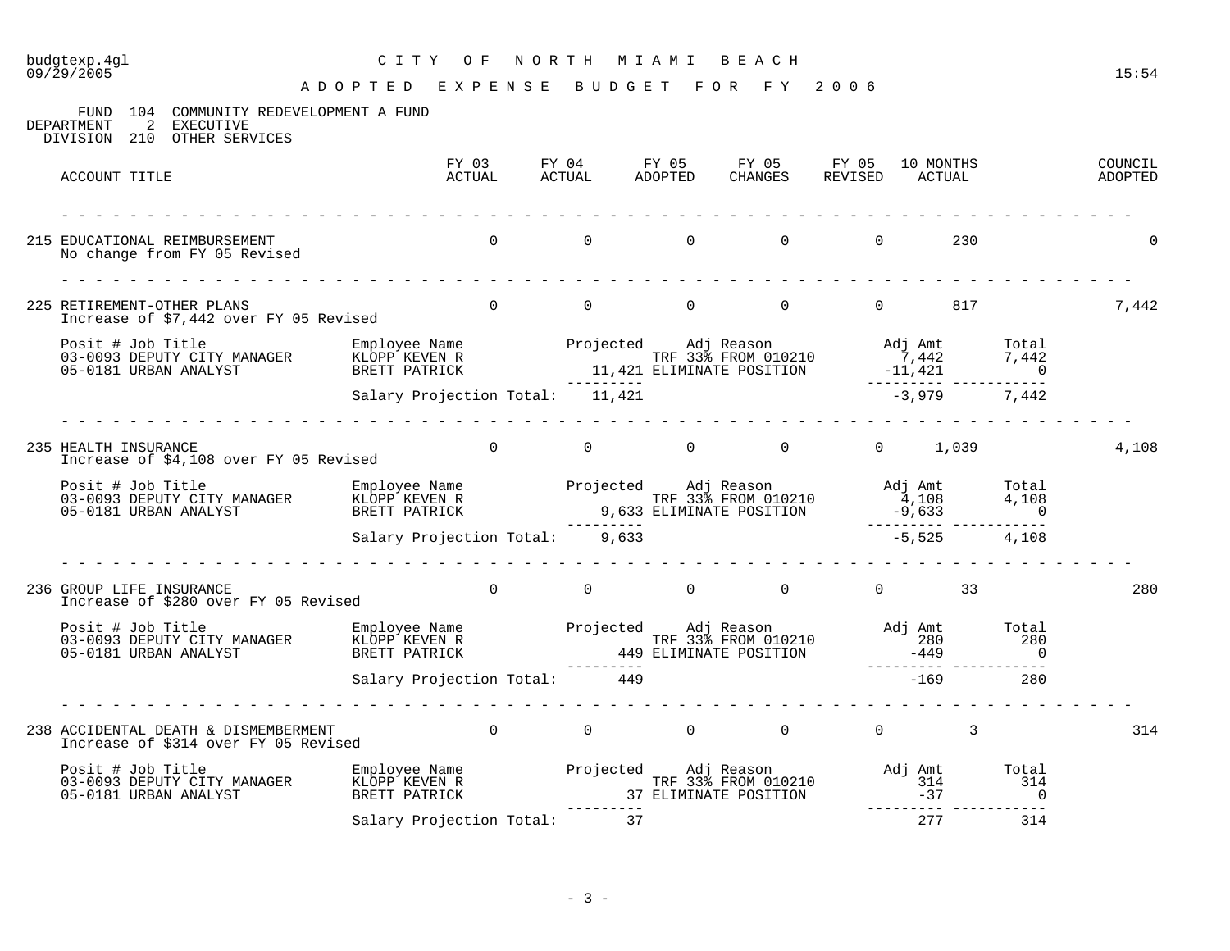## budgtexp.4gl C I T Y O F N O R T H M I A M I B E A C H

| FUND 104 COMMUNITY REDEVELOPMENT A FUND<br>2 EXECUTIVE<br>DEPARTMENT<br>DIVISION 210 OTHER SERVICES                                                                                                                                                                                                          |                                 |          |                                     |                                                                      |                |     |       |
|--------------------------------------------------------------------------------------------------------------------------------------------------------------------------------------------------------------------------------------------------------------------------------------------------------------|---------------------------------|----------|-------------------------------------|----------------------------------------------------------------------|----------------|-----|-------|
| ACCOUNT TITLE                                                                                                                                                                                                                                                                                                |                                 |          |                                     |                                                                      |                |     |       |
| 215 EDUCATIONAL REIMBURSEMENT<br>No change from FY 05 Revised                                                                                                                                                                                                                                                |                                 |          |                                     |                                                                      |                |     |       |
| 225 RETIREMENT-OTHER PLANS<br>Increase of \$7,442 over FY 05 Revised                                                                                                                                                                                                                                         |                                 | $\Omega$ | $\begin{matrix} 0 & 0 \end{matrix}$ | $\overline{0}$                                                       | 0 817          |     | 7,442 |
| Posit # Job Title [1,42] Employee Name [1,42] Projected adj Reason [1,442   1,442   1,442   1,442   1,442   1,442<br>1,442   1,421   1,421 ELIMINATE POSITION [1,421   1,421   1,421   1,421   1,421   1,421   1,421   1,421   05                                                                            |                                 |          |                                     |                                                                      |                |     |       |
|                                                                                                                                                                                                                                                                                                              | Salary Projection Total: 11,421 |          |                                     |                                                                      | $-3,979$ 7,442 |     |       |
| 235 HEALTH INSURANCE<br>Increase of \$4,108 over FY 05 Revised                                                                                                                                                                                                                                               |                                 | $\Omega$ |                                     | $\begin{matrix} 0 & 0 & 0 \end{matrix}$                              | $0 \t 1,039$   |     | 4,108 |
| Posit # Job Title [108] Employee Name [108] Projected Adj Reason [108] Adj Amt [108] Total [108] Projected Adj Reason [108] Adj Amt [108] $\begin{array}{cccccc} 03-0093 & DEPUTY & CITY & MANAGER & KLOPP & KEYEN & R\ 05-0181 & URBAN & ANALYST & BRETT & PATRICK & & & & & & & & & & & & & & & & & & & &$ |                                 |          |                                     |                                                                      |                |     |       |
|                                                                                                                                                                                                                                                                                                              | Salary Projection Total: 9,633  |          |                                     |                                                                      | $-5,525$ 4,108 |     |       |
| 236 GROUP LIFE INSURANCE<br>Increase of \$280 over FY 05 Revised                                                                                                                                                                                                                                             |                                 | $\Omega$ |                                     | $0 \qquad \qquad 0 \qquad \qquad 0 \qquad \qquad 0 \qquad \qquad 33$ |                |     | 280   |
|                                                                                                                                                                                                                                                                                                              |                                 |          |                                     |                                                                      |                |     |       |
|                                                                                                                                                                                                                                                                                                              | Salary Projection Total: 449    |          |                                     |                                                                      | $-169$         | 280 |       |
| 238 ACCIDENTAL DEATH & DISMEMBERMENT<br>Increase of \$314 over FY 05 Revised                                                                                                                                                                                                                                 | $\overline{0}$                  |          |                                     | $\begin{matrix} 0 & 0 & 0 \end{matrix}$                              | $\frac{3}{2}$  |     | 314   |
|                                                                                                                                                                                                                                                                                                              |                                 |          |                                     |                                                                      |                |     |       |
|                                                                                                                                                                                                                                                                                                              | Salary Projection Total:        |          | 37                                  |                                                                      | 277            | 314 |       |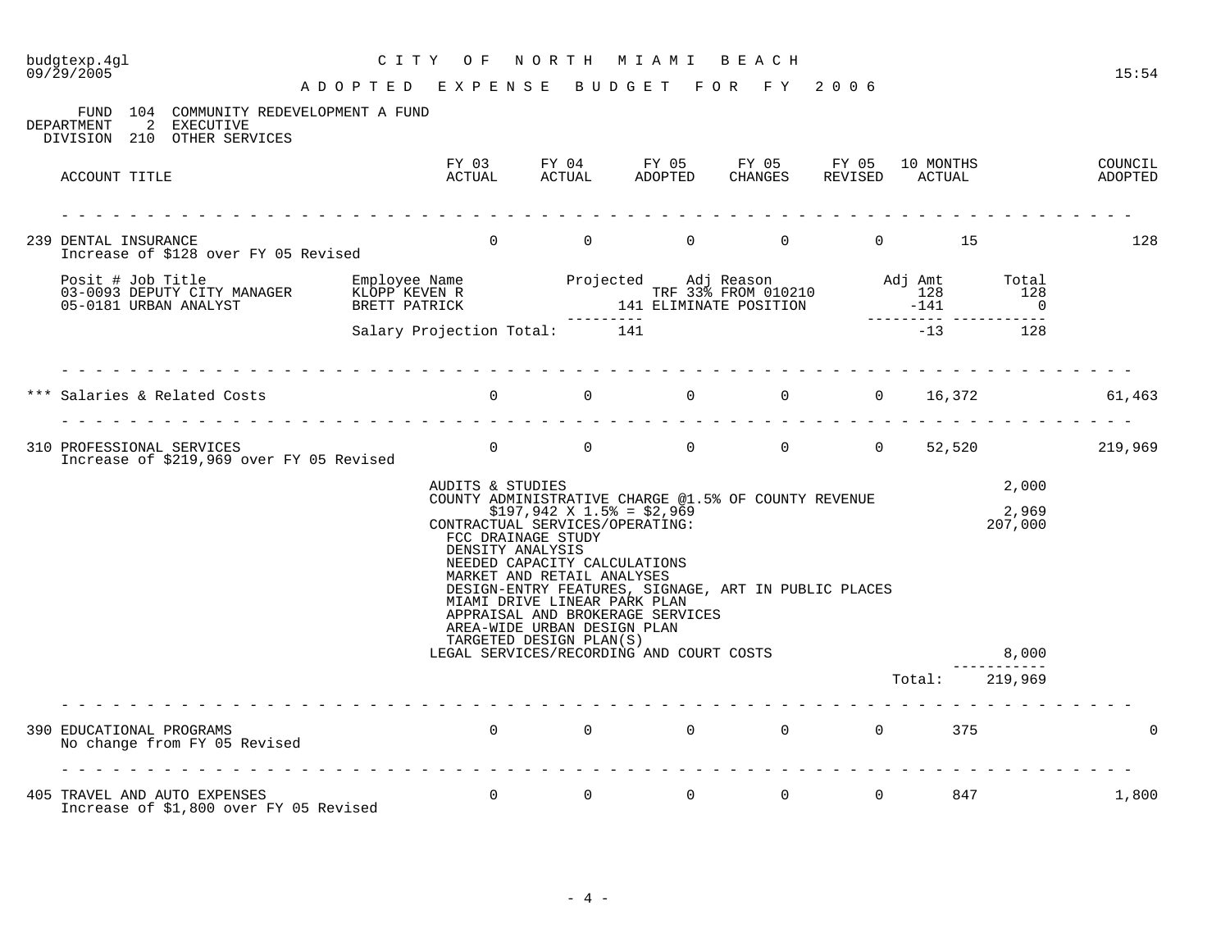## budgtexp.4gl C I T Y O F N O R T H M I A M I B E A C H

| 104 COMMUNITY REDEVELOPMENT A FUND<br>FUND<br>2<br>EXECUTIVE<br>DEPARTMENT<br>DIVISION 210 OTHER SERVICES |                                                       |                                                                                                                                                                                                                                                                     |                                                                                                                                                  |                                         |                |                      |                                |                    |
|-----------------------------------------------------------------------------------------------------------|-------------------------------------------------------|---------------------------------------------------------------------------------------------------------------------------------------------------------------------------------------------------------------------------------------------------------------------|--------------------------------------------------------------------------------------------------------------------------------------------------|-----------------------------------------|----------------|----------------------|--------------------------------|--------------------|
| ACCOUNT TITLE                                                                                             |                                                       |                                                                                                                                                                                                                                                                     | FY 03 FY 04 FY 05 FY 05 FY 05 10 MONTHS<br>ACTUAL ACTUAL ADOPTED CHANGES REVISED ACTUAL                                                          | CHANGES                                 |                |                      |                                | COUNCIL<br>ADOPTED |
| 239 DENTAL INSURANCE<br>Increase of \$128 over FY 05 Revised                                              |                                                       | $0 \qquad \qquad$                                                                                                                                                                                                                                                   | $\overline{0}$<br>0                                                                                                                              | 0                                       |                | $\overline{0}$<br>15 |                                | 128                |
|                                                                                                           |                                                       |                                                                                                                                                                                                                                                                     |                                                                                                                                                  |                                         |                |                      | Total<br>128<br>$\overline{0}$ |                    |
|                                                                                                           | Salary Projection Total: 141                          |                                                                                                                                                                                                                                                                     |                                                                                                                                                  |                                         |                | $-13$                | 128                            |                    |
| Salaries & Related Costs                                                                                  | $\overline{0}$<br>di di di di di di di di di di di di |                                                                                                                                                                                                                                                                     | $\begin{matrix} 0 & 0 \\ 0 & 0 \end{matrix}$                                                                                                     |                                         |                | $0 \t 0 \t 16,372$   |                                | 61,463             |
| 310 PROFESSIONAL SERVICES<br>Increase of \$219,969 over FY 05 Revised                                     |                                                       | $\Omega$                                                                                                                                                                                                                                                            | $\overline{0}$                                                                                                                                   | $\begin{matrix} 0 & 0 & 0 \end{matrix}$ |                |                      |                                | 52,520 219,969     |
|                                                                                                           | AUDITS & STUDIES                                      | $$197,942 \t{X} 1.5* = $2,969$<br>CONTRACTUAL SERVICES/OPERATING:<br>FCC DRAINAGE STUDY<br>DENSITY ANALYSIS<br>NEEDED CAPACITY CALCULATIONS<br>MARKET AND RETAIL ANALYSES<br>MIAMI DRIVE LINEAR PARK PLAN<br>AREA-WIDE URBAN DESIGN PLAN<br>TARGETED DESIGN PLAN(S) | COUNTY ADMINISTRATIVE CHARGE @1.5% OF COUNTY REVENUE<br>DESIGN-ENTRY FEATURES, SIGNAGE, ART IN PUBLIC PLACES<br>APPRAISAL AND BROKERAGE SERVICES |                                         |                |                      | 2,000<br>2,969<br>207,000      |                    |
|                                                                                                           |                                                       |                                                                                                                                                                                                                                                                     | LEGAL SERVICES/RECORDING AND COURT COSTS                                                                                                         |                                         |                | Total:               | 8,000<br>219,969               |                    |
| 390 EDUCATIONAL PROGRAMS<br>No change from FY 05 Revised                                                  |                                                       |                                                                                                                                                                                                                                                                     | $\begin{matrix}0&0&0&0\end{matrix}$                                                                                                              |                                         |                | $\Omega$<br>375      |                                | 0                  |
|                                                                                                           |                                                       |                                                                                                                                                                                                                                                                     |                                                                                                                                                  |                                         |                |                      |                                |                    |
| 405 TRAVEL AND AUTO EXPENSES<br>Increase of \$1,800 over FY 05 Revised                                    | $\Omega$                                              | $\Omega$                                                                                                                                                                                                                                                            | $\overline{0}$                                                                                                                                   | $\overline{0}$                          | $\overline{0}$ | 847                  |                                | 1,800              |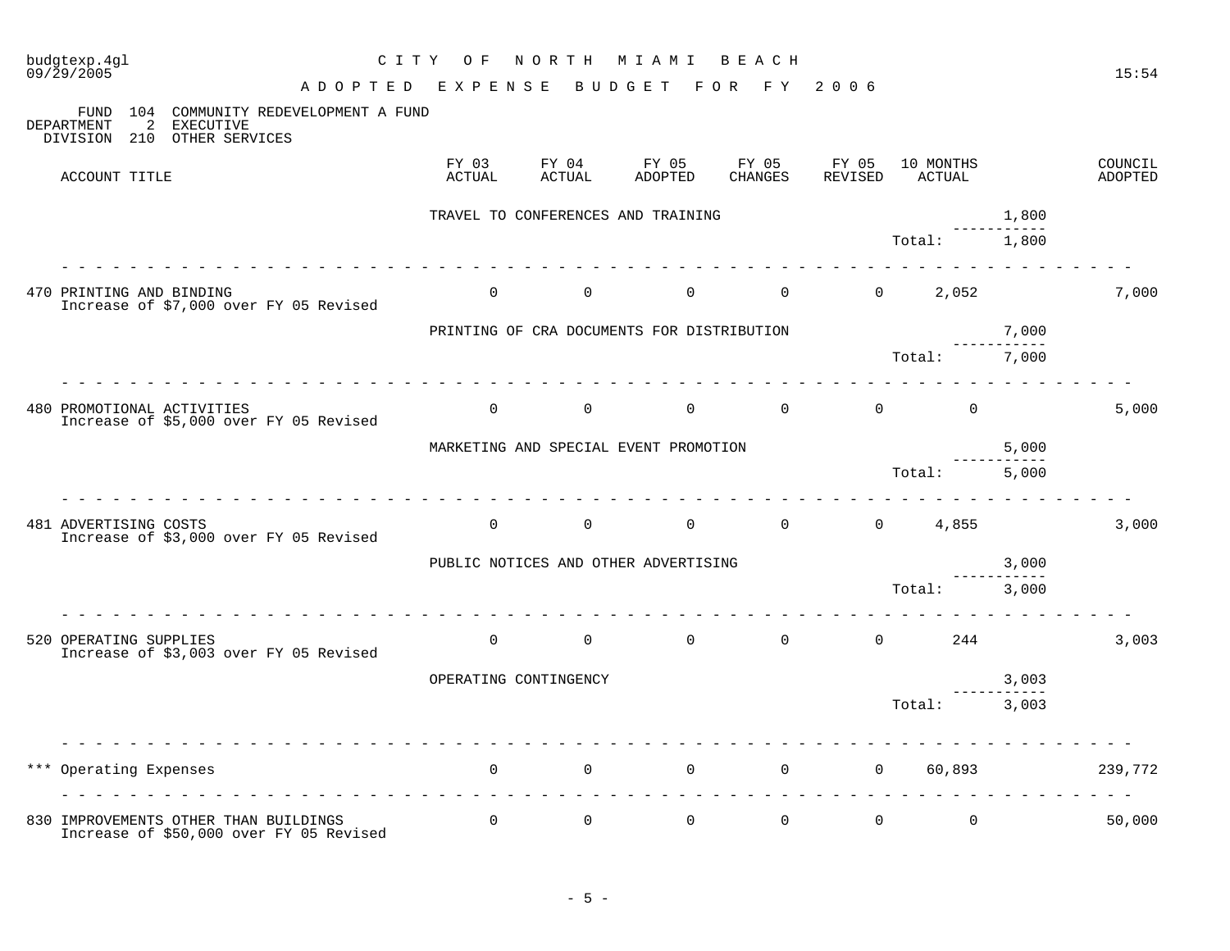| budgtexp.4gl<br>C I T Y<br>09/29/2005<br>A D O P T E D                                                       | O F<br>E X P E N S E  | NORTH           | M I A M I<br>BUDGET<br>F O R               | BEACH<br>F Y     | 2006             |                     |                            | 15:54              |
|--------------------------------------------------------------------------------------------------------------|-----------------------|-----------------|--------------------------------------------|------------------|------------------|---------------------|----------------------------|--------------------|
| 104 COMMUNITY REDEVELOPMENT A FUND<br>FUND<br>2<br>DEPARTMENT<br>EXECUTIVE<br>DIVISION 210<br>OTHER SERVICES |                       |                 |                                            |                  |                  |                     |                            |                    |
| ACCOUNT TITLE                                                                                                | FY 03<br>ACTUAL       | FY 04<br>ACTUAL | FY 05<br>ADOPTED                           | FY 05<br>CHANGES | FY 05<br>REVISED | 10 MONTHS<br>ACTUAL |                            | COUNCIL<br>ADOPTED |
|                                                                                                              |                       |                 | TRAVEL TO CONFERENCES AND TRAINING         |                  |                  |                     | 1,800<br>$\frac{1}{2}$     |                    |
|                                                                                                              |                       |                 |                                            |                  |                  | Total:              | 1,800                      |                    |
| 470 PRINTING AND BINDING<br>Increase of \$7,000 over FY 05 Revised                                           | $\overline{0}$        | $\overline{0}$  | $\overline{0}$                             | $\overline{0}$   |                  | $0 \t 2,052$        |                            | 7,000              |
|                                                                                                              |                       |                 | PRINTING OF CRA DOCUMENTS FOR DISTRIBUTION |                  |                  |                     | 7,000<br>-----------       |                    |
|                                                                                                              |                       |                 |                                            |                  |                  | Total:              | 7,000                      |                    |
| 480 PROMOTIONAL ACTIVITIES<br>Increase of \$5,000 over FY 05 Revised                                         | $\mathbf 0$           | $\mathbf 0$     | $\mathbf 0$                                | $\overline{0}$   | $\mathbf 0$      | $\Omega$            |                            | 5,000              |
|                                                                                                              |                       |                 | MARKETING AND SPECIAL EVENT PROMOTION      |                  |                  |                     | 5,000<br>. _ _ _ _ _ _ _ _ |                    |
|                                                                                                              |                       |                 |                                            |                  |                  | Total:              | 5,000                      |                    |
| 481 ADVERTISING COSTS<br>Increase of \$3,000 over FY 05 Revised                                              | $\Omega$              | $\Omega$        | $\Omega$                                   | $\Omega$         |                  | $0 \t 4,855$        |                            | 3,000              |
|                                                                                                              |                       |                 | PUBLIC NOTICES AND OTHER ADVERTISING       |                  |                  |                     | 3,000<br>-----------       |                    |
|                                                                                                              |                       |                 |                                            |                  |                  | Total:              | 3,000                      |                    |
| 520 OPERATING SUPPLIES<br>Increase of \$3,003 over FY 05 Revised                                             | $\Omega$              | $\overline{0}$  | $\Omega$                                   | $\mathbf 0$      | $\Omega$         | 244                 |                            | 3,003              |
|                                                                                                              | OPERATING CONTINGENCY |                 |                                            |                  |                  |                     | 3,003<br>------------      |                    |
|                                                                                                              |                       |                 |                                            |                  |                  | Total:              | 3,003                      |                    |
| *** Operating Expenses                                                                                       | $\mathbf{0}$          | $\mathbf 0$     | $\mathbf 0$                                | $\mathbf 0$      | $\overline{0}$   | 60,893              |                            | 239,772            |
| 830 IMPROVEMENTS OTHER THAN BUILDINGS<br>Increase of \$50,000 over FY 05 Revised                             | $\mathsf{O}$          | $\mathsf{O}$    | $\mathsf{O}$                               | $\mathbf 0$      | $\mathsf{O}$     | $\mathbf 0$         |                            | 50,000             |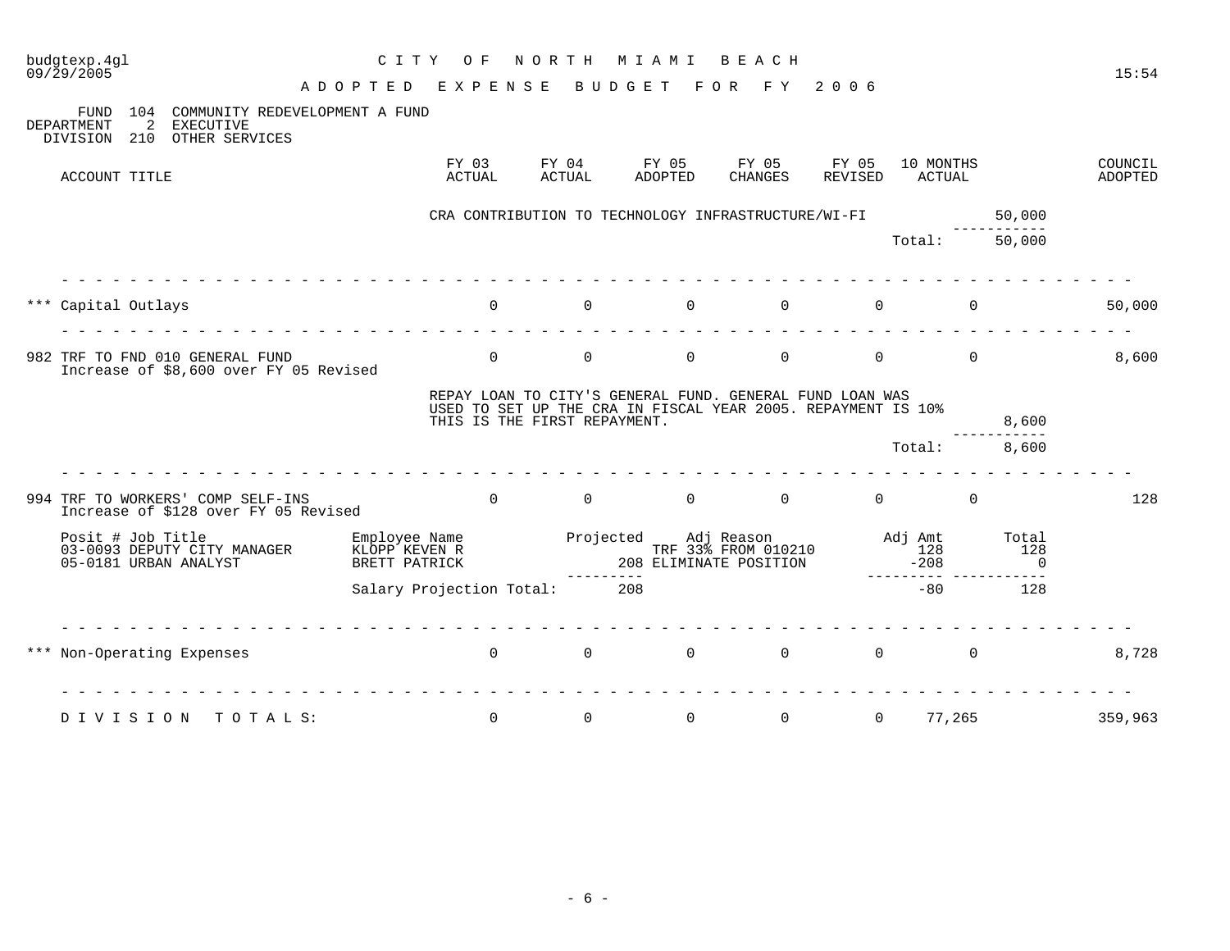| $09/\bar{2}9/2005$ | budgtexp.4gl                   |                                                      |                                        | C I T Y                        | O F                          | NORTH                  | M I A M I              | BEACH                                                    |                                                              |                                | 15:54                     |
|--------------------|--------------------------------|------------------------------------------------------|----------------------------------------|--------------------------------|------------------------------|------------------------|------------------------|----------------------------------------------------------|--------------------------------------------------------------|--------------------------------|---------------------------|
| DEPARTMENT         | FUND<br>104<br>210<br>DIVISION | 2<br><b>EXECUTIVE</b><br>OTHER SERVICES              | COMMUNITY REDEVELOPMENT A FUND         | ADOPTED                        | EXPENSE                      |                        | BUDGET                 | F O R<br>F Y                                             | 2006                                                         |                                |                           |
|                    | ACCOUNT TITLE                  |                                                      |                                        |                                | FY 03<br>ACTUAL              | FY 04<br><b>ACTUAL</b> | FY 05<br>ADOPTED       | FY 05<br><b>CHANGES</b>                                  | 10 MONTHS<br>FY 05<br>REVISED<br>ACTUAL                      |                                | COUNCIL<br><b>ADOPTED</b> |
|                    |                                |                                                      |                                        |                                |                              |                        |                        | CRA CONTRIBUTION TO TECHNOLOGY INFRASTRUCTURE/WI-FI      |                                                              | 50,000                         |                           |
|                    |                                |                                                      |                                        |                                |                              |                        |                        |                                                          | Total:                                                       | 50,000                         |                           |
| ***                | Capital Outlays                |                                                      |                                        |                                | $\Omega$                     | $\mathbf 0$            | $\Omega$               | $\Omega$                                                 | $\Omega$                                                     | $\Omega$                       | 50,000                    |
|                    |                                | 982 TRF TO FND 010 GENERAL FUND                      | Increase of \$8,600 over FY 05 Revised |                                | $\mathbf 0$                  | $\mathbf 0$            | $\mathbf 0$            | $\mathbf 0$                                              | $\mathbf 0$                                                  | $\mathbf 0$                    | 8,600                     |
|                    |                                |                                                      |                                        |                                | THIS IS THE FIRST REPAYMENT. |                        |                        | REPAY LOAN TO CITY'S GENERAL FUND. GENERAL FUND LOAN WAS | USED TO SET UP THE CRA IN FISCAL YEAR 2005. REPAYMENT IS 10% | 8,600                          |                           |
|                    |                                |                                                      |                                        |                                |                              |                        |                        |                                                          | Total:                                                       | 8,600                          |                           |
|                    |                                | 994 TRF TO WORKERS' COMP SELF-INS                    | Increase of \$128 over FY 05 Revised   |                                | $\Omega$                     | $\overline{0}$         | $\Omega$               | $\overline{0}$                                           | $\overline{0}$                                               | $\mathbf 0$                    | 128                       |
|                    | Posit # Job Title              | 03-0093 DEPUTY CITY MANAGER<br>05-0181 URBAN ANALYST |                                        | KLOPP KEVEN R<br>BRETT PATRICK | Employee Name                | Projected              | 208 ELIMINATE POSITION | Adj Reason<br>TRF 33% FROM 010210                        | Adj Amt<br>128<br>$-208$                                     | Total<br>128<br>$\overline{0}$ |                           |
|                    |                                |                                                      |                                        |                                | Salary Projection Total: 208 |                        |                        |                                                          | $-80$                                                        | 128                            |                           |
| ***                |                                | Non-Operating Expenses                               |                                        |                                | $\Omega$                     | $\Omega$               | $\Omega$               | $\Omega$                                                 | $\Omega$                                                     | $\Omega$                       | 8,728                     |
|                    | DIVISION                       |                                                      | TOTALS:                                |                                | 0                            | $\mathbf 0$            | 0                      | $\mathsf{O}$                                             | $\mathbf 0$                                                  | 77,265                         | 359,963                   |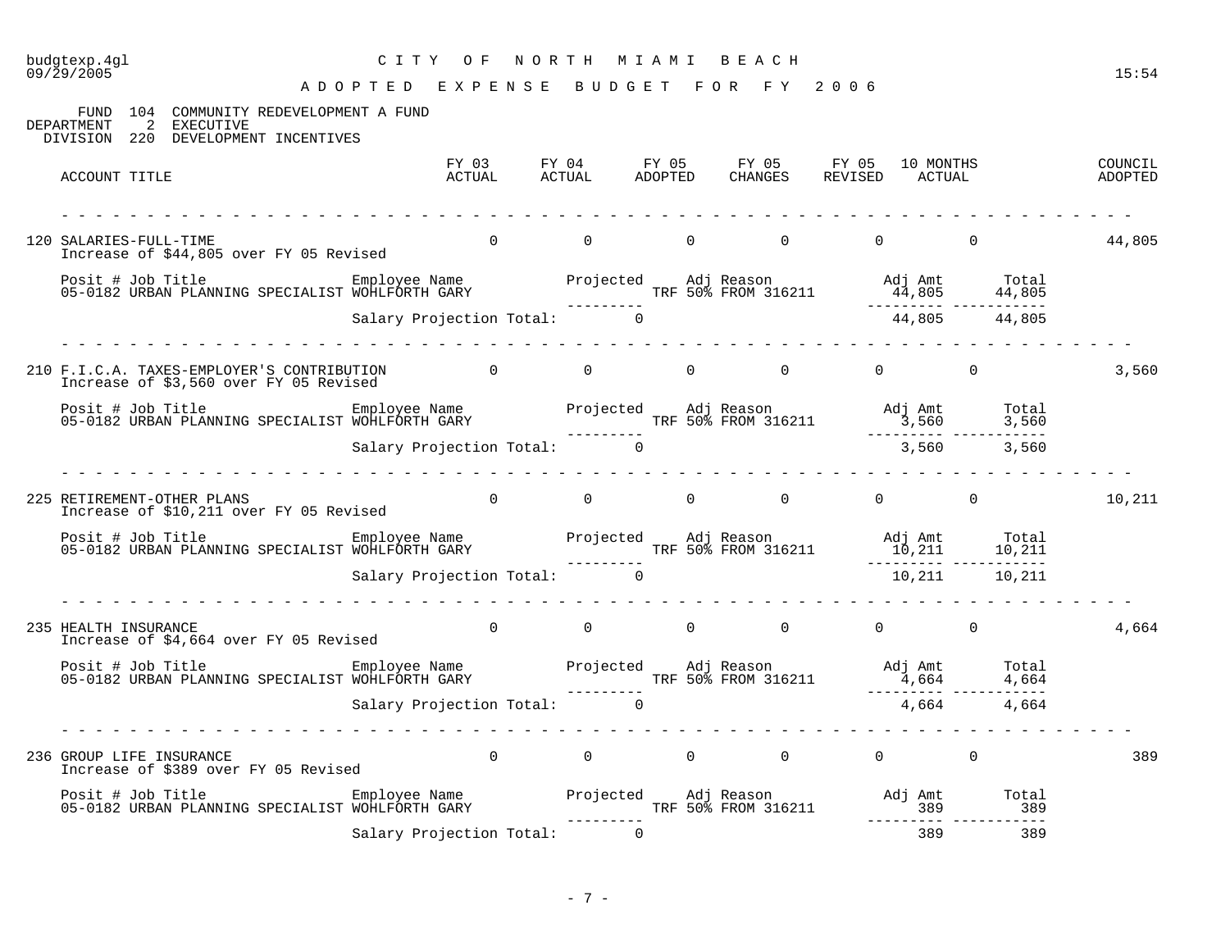# budgtexp.4gl C I T Y O F N O R T H M I A M I B E A C H

| FUND 104 COMMUNITY REDEVELOPMENT A FUND<br>2 EXECUTIVE<br>DEPARTMENT<br>DIVISION 220 DEVELOPMENT INCENTIVES                                                                                                      |                                          |                |          |                                         |                                                     |                 |        |
|------------------------------------------------------------------------------------------------------------------------------------------------------------------------------------------------------------------|------------------------------------------|----------------|----------|-----------------------------------------|-----------------------------------------------------|-----------------|--------|
| ACCOUNT TITLE                                                                                                                                                                                                    |                                          |                |          |                                         |                                                     |                 |        |
| 120 SALARIES-FULL-TIME<br>Increase of \$44,805 over FY 05 Revised                                                                                                                                                |                                          | $\Omega$       |          | $\begin{matrix} 0 & 0 & 0 \end{matrix}$ | 0                                                   | $\overline{0}$  | 44,805 |
|                                                                                                                                                                                                                  |                                          |                |          |                                         |                                                     |                 |        |
|                                                                                                                                                                                                                  | Salary Projection Total: 0               |                |          |                                         |                                                     | 44,805 44,805   |        |
| 210 F.I.C.A. TAXES-EMPLOYER'S CONTRIBUTION 0 0 0 0 0 0 0 0 0 0 0<br>Increase of \$3,560 over FY 05 Revised                                                                                                       |                                          |                |          |                                         |                                                     |                 | 3,560  |
|                                                                                                                                                                                                                  |                                          |                |          |                                         |                                                     |                 |        |
|                                                                                                                                                                                                                  | <u>a a a a a a a a a a a a a a a a a</u> |                |          |                                         |                                                     |                 |        |
| 225 RETIREMENT-OTHER PLANS<br>Increase of \$10,211 over FY 05 Revised                                                                                                                                            |                                          |                |          |                                         | $\begin{matrix} 0 & 0 & 0 & 0 & 0 & 0 \end{matrix}$ |                 | 10,211 |
| Posit # Job Title [10] Employee Name [10] Projected Adj Reason [10] Adj Amt Total<br>10,211 10,211 10,211 10,211 10,211 10,211 10,211 10,211 10,211 10,211 10,211 10,211 10,211 10,211 10,211 10,2               |                                          |                |          |                                         |                                                     |                 |        |
|                                                                                                                                                                                                                  | Salary Projection Total: 0               |                |          |                                         |                                                     | 10,211   10,211 |        |
| 235 HEALTH INSURANCE<br>Increase of \$4,664 over FY 05 Revised                                                                                                                                                   |                                          |                |          |                                         |                                                     |                 | 4,664  |
|                                                                                                                                                                                                                  |                                          |                |          |                                         |                                                     |                 |        |
|                                                                                                                                                                                                                  |                                          |                |          |                                         |                                                     |                 |        |
| 236 GROUP LIFE INSURANCE<br>Increase of \$389 over FY 05 Revised                                                                                                                                                 |                                          | $\overline{0}$ |          |                                         | $\begin{matrix}0&0&0&0&0&0\end{matrix}$             |                 | 389    |
| Posit # Job Title Fmployee Name Projected Adj Reason Adj Amt Total Posit # Job Title Employee Name<br>389 189 189 TRF 50% FROM 316211 1389 389 389 389 389 1991 05-0182 URBAN PLANNING SPECIALIST WOHLFORTH GARY |                                          |                |          |                                         |                                                     |                 |        |
|                                                                                                                                                                                                                  | Salary Projection Total:                 |                | $\Omega$ |                                         | 389                                                 | 389             |        |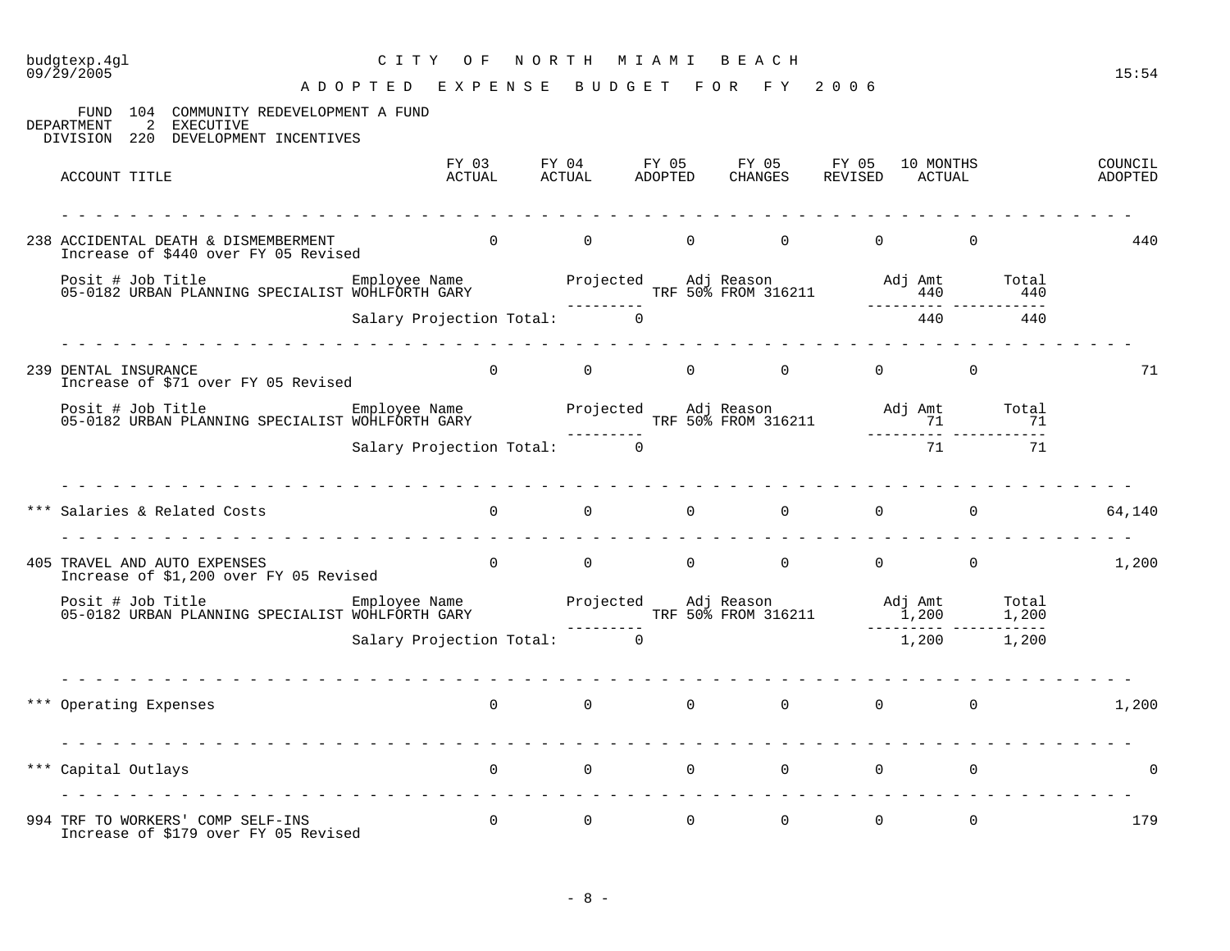## budgtexp.4gl C I T Y O F N O R T H M I A M I B E A C H

| FUND 104 COMMUNITY REDEVELOPMENT A FUND<br>2 EXECUTIVE<br>DEPARTMENT<br>DIVISION 220 DEVELOPMENT INCENTIVES                                                                         |                                                    |                                   |          |                                                                                         |          |                                         |     |                    |
|-------------------------------------------------------------------------------------------------------------------------------------------------------------------------------------|----------------------------------------------------|-----------------------------------|----------|-----------------------------------------------------------------------------------------|----------|-----------------------------------------|-----|--------------------|
| ACCOUNT TITLE                                                                                                                                                                       |                                                    |                                   |          | FY 03 FY 04 FY 05 FY 05 FY 05 10 MONTHS<br>ACTUAL ACTUAL ADOPTED CHANGES REVISED ACTUAL |          |                                         |     | COUNCIL<br>ADOPTED |
| 238 ACCIDENTAL DEATH & DISMEMBERMENT<br>Increase of \$440 over FY 05 Revised                                                                                                        | $\begin{matrix}0&0&0&0\end{matrix}$                |                                   |          |                                                                                         | $\Omega$ | $\Omega$                                |     | 440                |
|                                                                                                                                                                                     |                                                    |                                   |          |                                                                                         |          |                                         |     |                    |
|                                                                                                                                                                                     | Salary Projection Total: 0                         |                                   |          |                                                                                         |          | 440                                     | 440 |                    |
| 239 DENTAL INSURANCE<br>Increase of \$71 over FY 05 Revised                                                                                                                         |                                                    |                                   |          |                                                                                         |          |                                         |     | 71                 |
|                                                                                                                                                                                     |                                                    |                                   |          |                                                                                         |          |                                         |     |                    |
|                                                                                                                                                                                     | Salary Projection Total: 0                         |                                   |          |                                                                                         |          | 71                                      | 71  |                    |
| Salaries & Related Costs                                                                                                                                                            | $\begin{array}{ccc} & & 0 & \quad & 0 \end{array}$ |                                   | $\Omega$ |                                                                                         |          | $\begin{matrix} 0 & 0 & 0 \end{matrix}$ |     | 64,140             |
| 405 TRAVEL AND AUTO EXPENSES<br>Increase of \$1,200 over FY 05 Revised                                                                                                              |                                                    |                                   |          | $\begin{matrix} 0 & 0 & 0 & 0 & 0 & 0 & 0 \end{matrix}$                                 |          |                                         |     | 1,200              |
| Posit # Job Title Employee Name Projected Adj Reason Adj Amt Total<br>1,200 1,200 1,200 TRF 50% FROM 316211 1,200 1,200<br>Salary Projection Total: 0 1,200 1,200 1,200 1,200 1,200 |                                                    |                                   |          |                                                                                         |          |                                         |     |                    |
|                                                                                                                                                                                     | Salary Projection Total: 0                         |                                   |          |                                                                                         |          | 1,200 1,200                             |     |                    |
| *** Operating Expenses                                                                                                                                                              |                                                    |                                   |          | $\begin{array}{ccccccccccccccccccccc} 0 & & & 0 & & & 0 & & & 0 & & & 0 \end{array}$    |          |                                         |     | 1,200              |
| *** Capital Outlays                                                                                                                                                                 | $\overline{0}$                                     | $\overline{0}$ and $\overline{0}$ |          |                                                                                         |          | $\begin{matrix} 0 & 0 & 0 \end{matrix}$ |     | $\overline{0}$     |
| 994 TRF TO WORKERS' COMP SELF-INS<br>Increase of \$179 over FY 05 Revised                                                                                                           | $\Omega$                                           | $\overline{0}$                    | $\Omega$ | $\overline{0}$                                                                          | $\Omega$ | $\Omega$                                |     | 179                |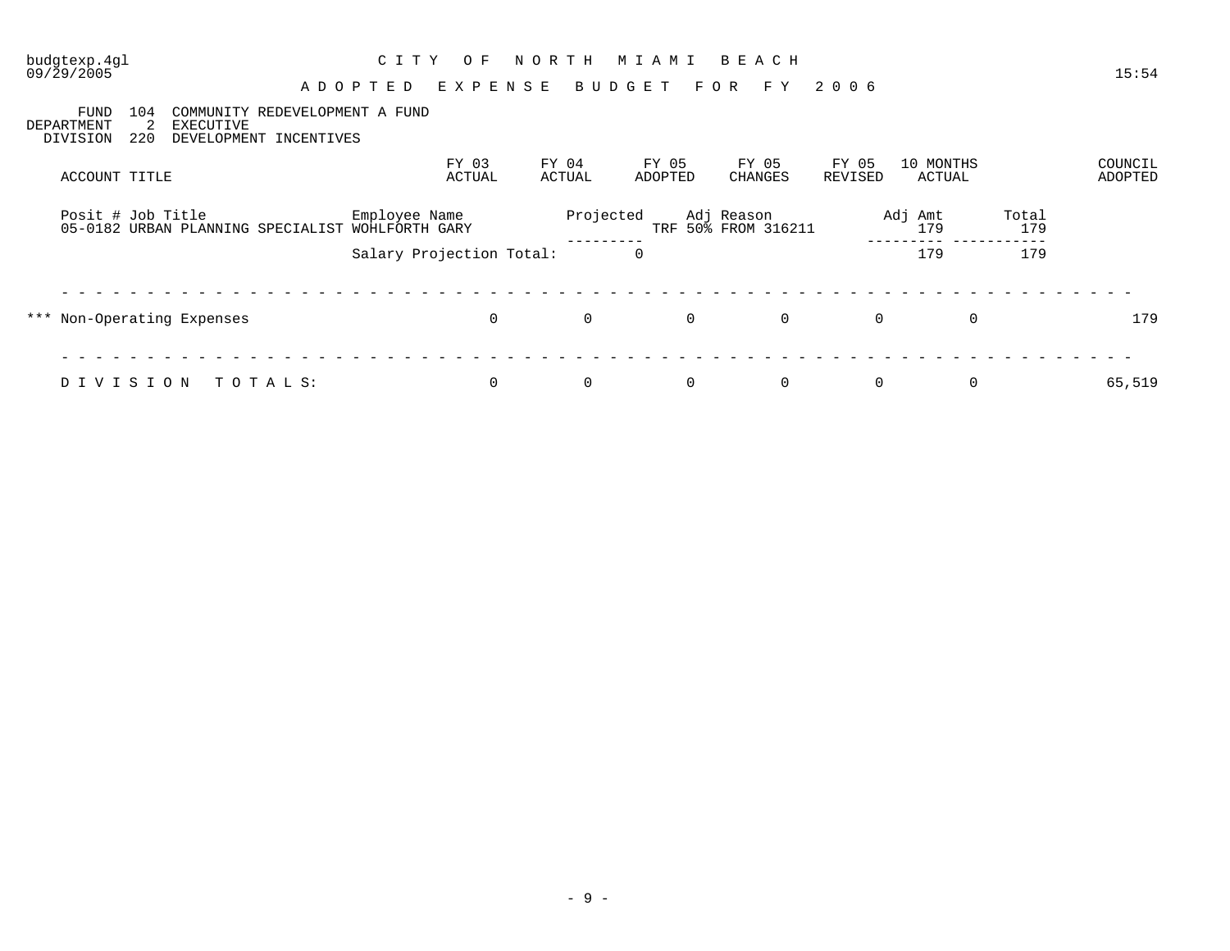| budgtexp.4gl<br>09/29/2005                               |                                                                              | C I T Y<br>ADOPTED              | O F<br>EXPENSE  | NORTH<br>BUDGET | M I A M I<br>F O R | BEACH<br>F Y                      | 2006                    |                     |              | 15:54              |
|----------------------------------------------------------|------------------------------------------------------------------------------|---------------------------------|-----------------|-----------------|--------------------|-----------------------------------|-------------------------|---------------------|--------------|--------------------|
| <b>FUND</b><br>104<br>2<br>DEPARTMENT<br>220<br>DIVISION | COMMUNITY REDEVELOPMENT A FUND<br><b>EXECUTIVE</b><br>DEVELOPMENT INCENTIVES |                                 |                 |                 |                    |                                   |                         |                     |              |                    |
| ACCOUNT TITLE                                            |                                                                              |                                 | FY 03<br>ACTUAL | FY 04<br>ACTUAL | FY 05<br>ADOPTED   | FY 05<br>CHANGES                  | FY 05<br><b>REVISED</b> | 10 MONTHS<br>ACTUAL |              | COUNCIL<br>ADOPTED |
| Posit # Job Title                                        | 05-0182 URBAN PLANNING SPECIALIST                                            | Employee Name<br>WOHLFORTH GARY |                 | Projected       |                    | Adj Reason<br>TRF 50% FROM 316211 |                         | Adj Amt<br>179      | Total<br>179 |                    |
|                                                          |                                                                              | Salary Projection Total:        |                 |                 | 0                  |                                   |                         | 179                 | 179          |                    |
| *** Non-Operating Expenses                               |                                                                              |                                 | $\mathbf 0$     | $\mathbf 0$     | $\mathbf 0$        | $\overline{0}$                    | $\mathbf 0$             | $\mathbf 0$         |              | 179                |
| DIVISION                                                 | TOTALS:                                                                      |                                 | $\mathbf 0$     | 0               | 0                  | $\mathbf 0$                       | $\mathbf 0$             | 0                   |              | 65,519             |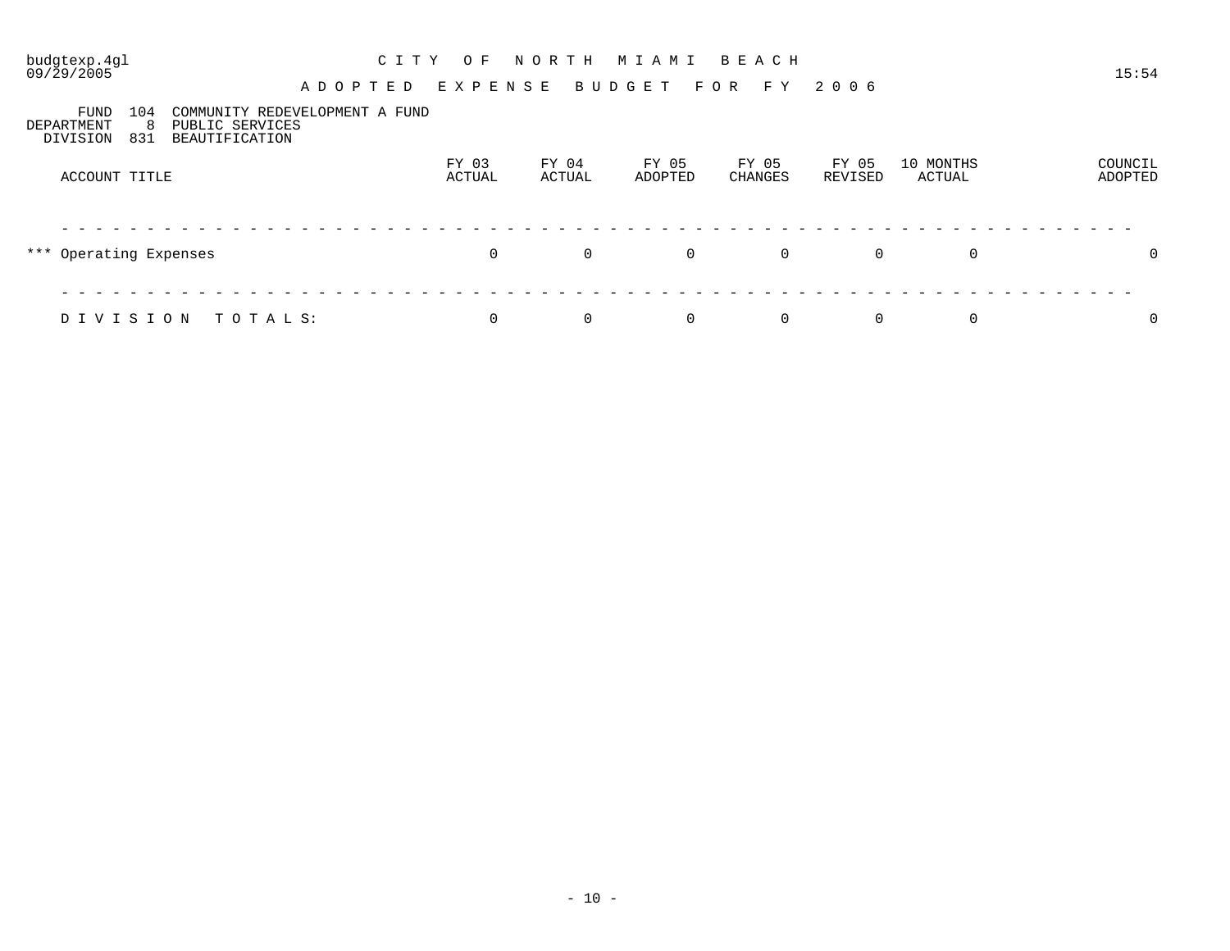# budgtexp.4gl C I T Y O F N O R T H M I A M I B E A C H

| 104<br>FUND<br>DEPARTMENT<br>8<br>831<br>DIVISION | COMMUNITY REDEVELOPMENT A FUND<br>PUBLIC SERVICES<br>BEAUTIFICATION |                 |                 |                  |                         |                  |                     |                    |
|---------------------------------------------------|---------------------------------------------------------------------|-----------------|-----------------|------------------|-------------------------|------------------|---------------------|--------------------|
| ACCOUNT TITLE                                     |                                                                     | FY 03<br>ACTUAL | FY 04<br>ACTUAL | FY 05<br>ADOPTED | FY 05<br><b>CHANGES</b> | FY 05<br>REVISED | 10 MONTHS<br>ACTUAL | COUNCIL<br>ADOPTED |
| *** Operating Expenses                            |                                                                     | 0               | $\mathsf{O}$    | $\mathbf 0$      | 0                       | $\mathbf 0$      | $\mathbf 0$         | 0                  |
| DIVISION                                          | TOTALS:                                                             | 0               | 0               | $\mathbf 0$      | 0                       | 0                | 0                   | 0                  |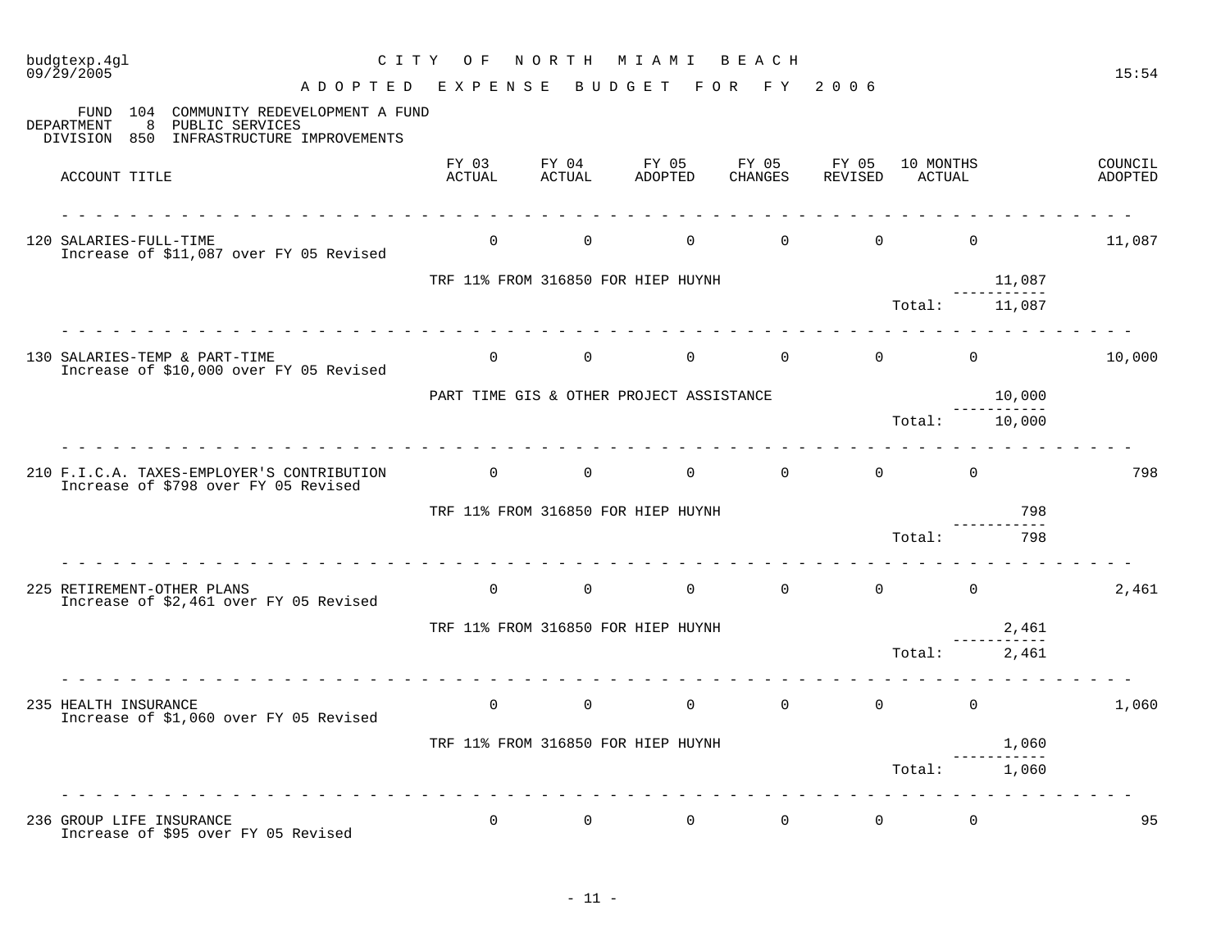| $09/\overline{2}9/\overline{2005}$                                                                                                    | ADOPTED EXPENSE BUDGET |                 |                                          | FOR FY                                       | 2006     |                     | 15:54              |
|---------------------------------------------------------------------------------------------------------------------------------------|------------------------|-----------------|------------------------------------------|----------------------------------------------|----------|---------------------|--------------------|
| FUND 104<br>COMMUNITY REDEVELOPMENT A FUND<br><b>DEPARTMENT</b><br>- 8<br>PUBLIC SERVICES<br>DIVISION 850 INFRASTRUCTURE IMPROVEMENTS |                        |                 |                                          |                                              |          |                     |                    |
| ACCOUNT TITLE                                                                                                                         | FY 03<br>ACTUAL        | FY 04<br>ACTUAL | FY 05 FY 05 FY 05<br>ADOPTED             | CHANGES                                      | REVISED  | 10 MONTHS<br>ACTUAL | COUNCIL<br>ADOPTED |
| 120 SALARIES-FULL-TIME<br>Increase of \$11,087 over FY 05 Revised                                                                     | $\Omega$               | $\overline{0}$  | $\overline{0}$                           | $\Omega$                                     | $\Omega$ | $\Omega$            | 11,087             |
|                                                                                                                                       |                        |                 | TRF 11% FROM 316850 FOR HIEP HUYNH       |                                              |          |                     | 11,087             |
|                                                                                                                                       |                        |                 |                                          |                                              |          | Total:              | 11,087             |
| 130 SALARIES-TEMP & PART-TIME<br>Increase of \$10,000 over FY 05 Revised                                                              | $\Omega$               | $\overline{0}$  | $\Omega$                                 | $\overline{0}$                               | $\Omega$ | $\Omega$            | 10,000             |
|                                                                                                                                       |                        |                 | PART TIME GIS & OTHER PROJECT ASSISTANCE |                                              |          |                     | 10,000             |
|                                                                                                                                       |                        |                 |                                          |                                              |          | Total:              | 10,000             |
| 210 F.I.C.A. TAXES-EMPLOYER'S CONTRIBUTION 0<br>Increase of \$798 over FY 05 Revised                                                  |                        | $\Omega$        |                                          | $\begin{matrix} 0 & 0 \\ 0 & 0 \end{matrix}$ | $\Omega$ | $\Omega$            | 798                |
|                                                                                                                                       |                        |                 | TRF 11% FROM 316850 FOR HIEP HUYNH       |                                              |          |                     | 798                |
|                                                                                                                                       |                        |                 |                                          |                                              |          | Total:              | 798                |
| 225 RETIREMENT-OTHER PLANS<br>Increase of \$2,461 over FY 05 Revised                                                                  | $\Omega$               | $\Omega$        | $\Omega$                                 | $\Omega$                                     | $\Omega$ | $\Omega$            | 2,461              |
|                                                                                                                                       |                        |                 | TRF 11% FROM 316850 FOR HIEP HUYNH       |                                              |          |                     | 2,461              |
|                                                                                                                                       |                        |                 |                                          |                                              |          | Total:              | 2,461              |
| 235 HEALTH INSURANCE<br>Increase of \$1,060 over FY 05 Revised                                                                        | $\Omega$               | $\Omega$        | $\Omega$                                 | $\Omega$                                     | $\Omega$ | $\Omega$            | 1,060              |
|                                                                                                                                       |                        |                 | TRF 11% FROM 316850 FOR HIEP HUYNH       |                                              |          |                     | 1,060              |
|                                                                                                                                       |                        |                 |                                          |                                              |          | Total:              | 1,060              |
| 236 GROUP LIFE INSURANCE<br>Increase of \$95 over FY 05 Revised                                                                       | $\Omega$               | $\Omega$        | $\Omega$                                 | $\overline{0}$                               | $\Omega$ | $\Omega$            | 95                 |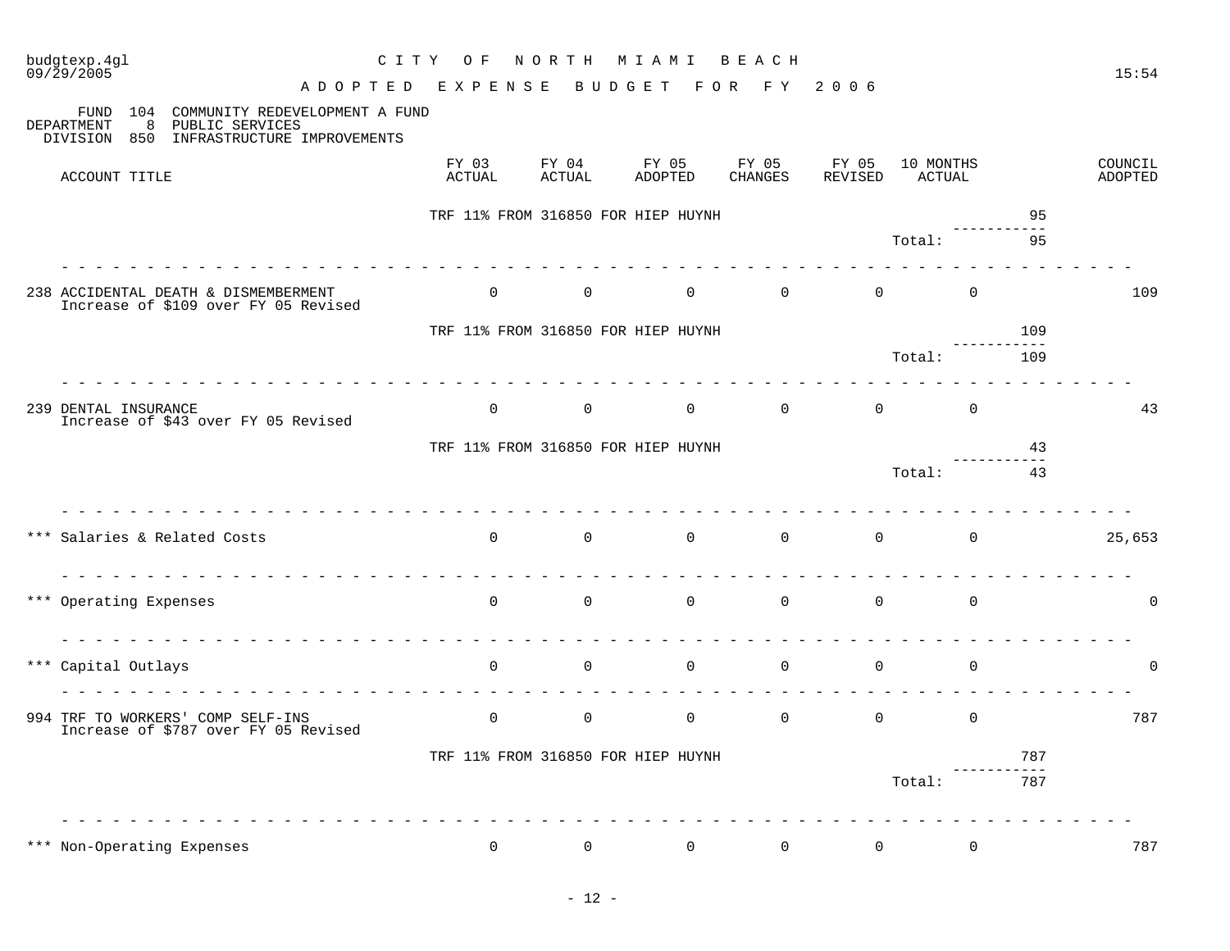| budgtexp.4gl<br>09/29/2005                                                                                                                | CITY OF                                                    |                                                         | NORTH MIAMI                                          | BEACH                            |                                                    |                     |     | 15:54              |
|-------------------------------------------------------------------------------------------------------------------------------------------|------------------------------------------------------------|---------------------------------------------------------|------------------------------------------------------|----------------------------------|----------------------------------------------------|---------------------|-----|--------------------|
|                                                                                                                                           | ADOPTED EXPENSE                                            |                                                         | BUDGET FOR FY 2006                                   |                                  |                                                    |                     |     |                    |
| 104<br>COMMUNITY REDEVELOPMENT A FUND<br>FUND<br>8<br><b>DEPARTMENT</b><br>PUBLIC SERVICES<br>INFRASTRUCTURE IMPROVEMENTS<br>DIVISION 850 |                                                            |                                                         |                                                      |                                  |                                                    |                     |     |                    |
| ACCOUNT TITLE                                                                                                                             | FY 03<br>ACTUAL                                            | FY 04<br>ACTUAL                                         | FY 05<br>ADOPTED                                     | FY 05<br>CHANGES                 | FY 05<br>REVISED                                   | 10 MONTHS<br>ACTUAL |     | COUNCIL<br>ADOPTED |
|                                                                                                                                           |                                                            |                                                         | TRF 11% FROM 316850 FOR HIEP HUYNH                   |                                  |                                                    |                     | 95  |                    |
|                                                                                                                                           |                                                            |                                                         |                                                      |                                  | Total:                                             |                     | 95  |                    |
| 238 ACCIDENTAL DEATH & DISMEMBERMENT<br>Increase of \$109 over FY 05 Revised                                                              | <u> Lieu Lieu Lieu Lieu Lieu Lieu Lieu Lie</u><br>$\Omega$ | $\overline{0}$                                          | $\Omega$                                             | $\Omega$                         | $\Omega$                                           | $\Omega$            |     | 109                |
|                                                                                                                                           |                                                            |                                                         | TRF 11% FROM 316850 FOR HIEP HUYNH                   |                                  |                                                    |                     | 109 |                    |
|                                                                                                                                           |                                                            |                                                         |                                                      |                                  | Total:                                             |                     | 109 |                    |
| 239 DENTAL INSURANCE<br>Increase of \$43 over FY 05 Revised                                                                               | $\Omega$                                                   | $\overline{0}$                                          |                                                      | $\overline{0}$<br>$\overline{0}$ | $\overline{0}$                                     | $\Omega$            |     | 43                 |
|                                                                                                                                           |                                                            |                                                         | TRF 11% FROM 316850 FOR HIEP HUYNH                   |                                  |                                                    |                     | 43  |                    |
|                                                                                                                                           |                                                            |                                                         |                                                      |                                  | Total:                                             |                     | 43  |                    |
| *** Salaries & Related Costs                                                                                                              |                                                            |                                                         | $\begin{matrix}0&0&0&0\end{matrix}$                  |                                  | $\begin{array}{ccc} & & 0 & \quad & 0 \end{array}$ |                     |     | 25,653             |
| *** Operating Expenses                                                                                                                    |                                                            |                                                         | $\begin{matrix} 0 & 0 & 0 \\ 0 & 0 & 0 \end{matrix}$ | $\sim$ 0                         | $\overline{0}$                                     | $\Omega$            |     | $\Omega$           |
| *** Capital Outlays                                                                                                                       | dia ara-dia ara-dia ara-dia ara-                           | $\begin{array}{ccc} 0 & \hspace{1.5cm} & 0 \end{array}$ | $\overline{0}$                                       | $\overline{0}$                   | $\overline{0}$                                     | $\Omega$            |     | $\Omega$           |
| 994 TRF TO WORKERS' COMP SELF-INS<br>Increase of \$787 over FY 05 Revised                                                                 | $\overline{0}$                                             | $\overline{0}$                                          | $\overline{0}$                                       | $\overline{0}$                   | $\overline{0}$                                     | $\Omega$            |     | 787                |
|                                                                                                                                           |                                                            |                                                         | TRF 11% FROM 316850 FOR HIEP HUYNH                   |                                  |                                                    |                     | 787 |                    |
|                                                                                                                                           |                                                            |                                                         |                                                      |                                  |                                                    | Total:              | 787 |                    |
| *** Non-Operating Expenses                                                                                                                | $\overline{0}$                                             | $\mathsf{O}$                                            | $\mathbf 0$                                          | $\overline{0}$                   | $\mathbf 0$                                        | $\mathbf 0$         |     | 787                |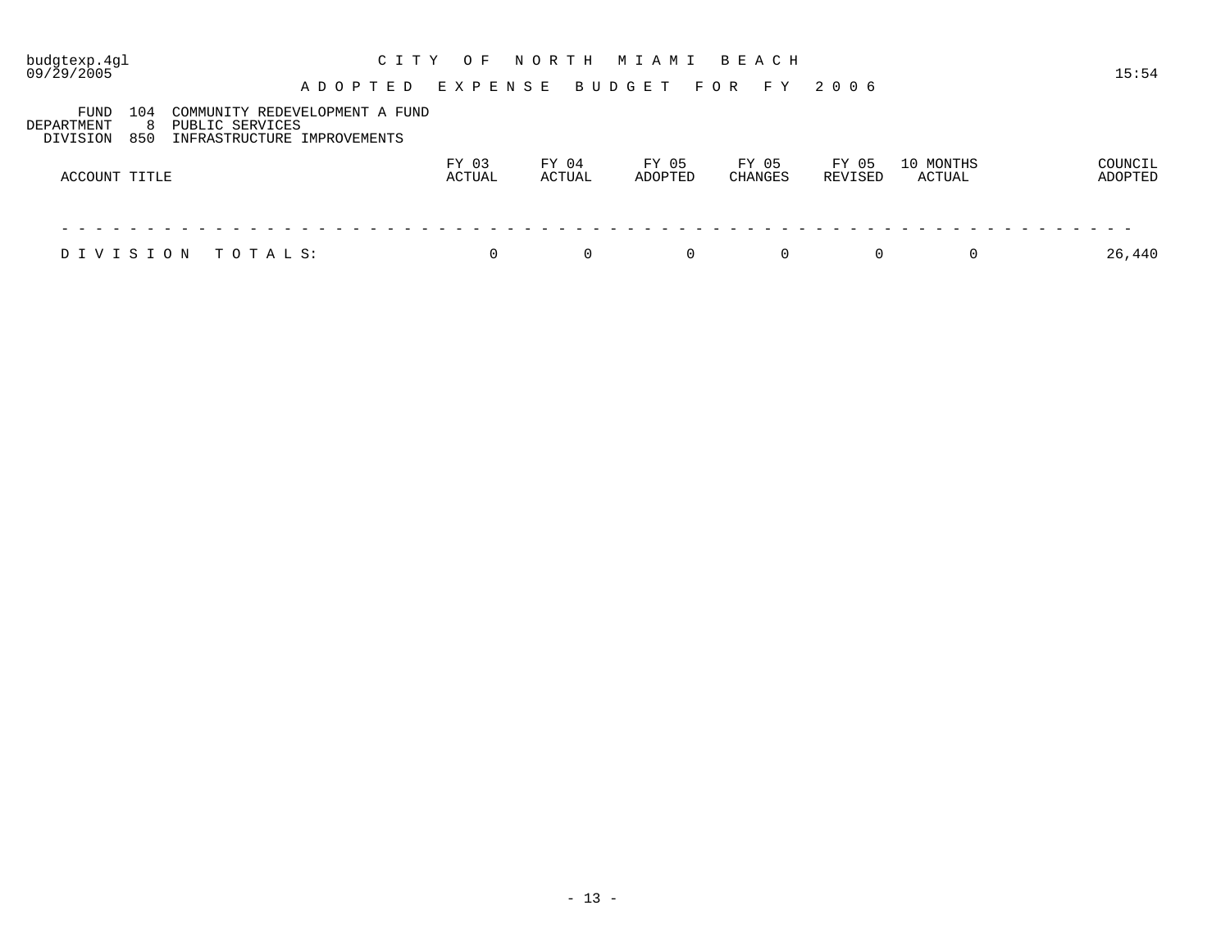09/29/2005 15:54

#### A D O P T E D E X P E N S E B U D G E T F O R F Y 2 0 0 6

| FUND<br>DEPARTMENT<br>DIVISION | 104<br>850 | COMMUNITY REDEVELOPMENT A FUND<br>PUBLIC SERVICES<br>INFRASTRUCTURE IMPROVEMENTS |                 |                 |                  |                  |                  |                     |                    |
|--------------------------------|------------|----------------------------------------------------------------------------------|-----------------|-----------------|------------------|------------------|------------------|---------------------|--------------------|
| ACCOUNT TITLE                  |            |                                                                                  | FY 03<br>ACTUAL | FY 04<br>ACTUAL | FY 05<br>ADOPTED | FY 05<br>CHANGES | FY 05<br>REVISED | 10 MONTHS<br>ACTUAL | COUNCIL<br>ADOPTED |
|                                |            |                                                                                  |                 |                 |                  |                  |                  |                     |                    |

D I V I S I O N T O T A L S:  $\begin{array}{cccccccccccccc} 0 & 0 & 0 & 0 & 0 & 0 & 0 & 0 & 0 & 26,440 & \end{array}$ 

| $\sim$ |  |
|--------|--|
|--------|--|